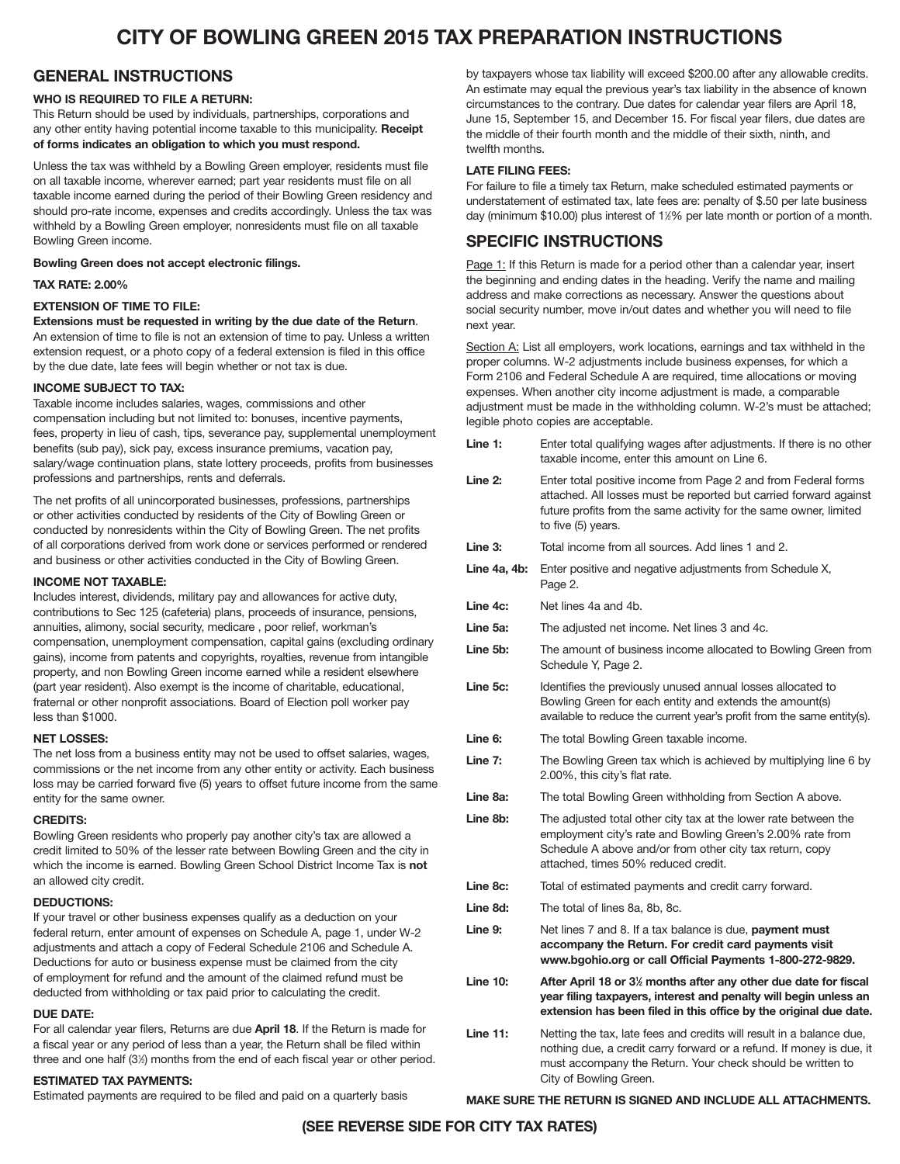# **CITY OF BOWLING GREEN 2015 TAX PREPARATION INSTRUCTIONS**

# **GENERAL INSTRUCTIONS**

# **WHO IS REQUIRED TO FILE A RETURN:**

This Return should be used by individuals, partnerships, corporations and any other entity having potential income taxable to this municipality. **Receipt of forms indicates an obligation to which you must respond.**

Unless the tax was withheld by a Bowling Green employer, residents must file on all taxable income, wherever earned; part year residents must file on all taxable income earned during the period of their Bowling Green residency and should pro-rate income, expenses and credits accordingly. Unless the tax was withheld by a Bowling Green employer, nonresidents must file on all taxable Bowling Green income.

**Bowling Green does not accept electronic filings.**

**TAX RATE: 2.00%**

### **EXTENSION OF TIME TO FILE:**

**Extensions must be requested in writing by the due date of the Return**. An extension of time to file is not an extension of time to pay. Unless a written extension request, or a photo copy of a federal extension is filed in this office by the due date, late fees will begin whether or not tax is due.

# **INCOME SUBJECT TO TAX:**

Taxable income includes salaries, wages, commissions and other compensation including but not limited to: bonuses, incentive payments, fees, property in lieu of cash, tips, severance pay, supplemental unemployment benefits (sub pay), sick pay, excess insurance premiums, vacation pay, salary/wage continuation plans, state lottery proceeds, profits from businesses professions and partnerships, rents and deferrals.

The net profits of all unincorporated businesses, professions, partnerships or other activities conducted by residents of the City of Bowling Green or conducted by nonresidents within the City of Bowling Green. The net profits of all corporations derived from work done or services performed or rendered and business or other activities conducted in the City of Bowling Green.

#### **INCOME NOT TAXABLE:**

Includes interest, dividends, military pay and allowances for active duty, contributions to Sec 125 (cafeteria) plans, proceeds of insurance, pensions, annuities, alimony, social security, medicare , poor relief, workman's compensation, unemployment compensation, capital gains (excluding ordinary gains), income from patents and copyrights, royalties, revenue from intangible property, and non Bowling Green income earned while a resident elsewhere (part year resident). Also exempt is the income of charitable, educational, fraternal or other nonprofit associations. Board of Election poll worker pay less than \$1000.

# **NET LOSSES:**

The net loss from a business entity may not be used to offset salaries, wages, commissions or the net income from any other entity or activity. Each business loss may be carried forward five (5) years to offset future income from the same entity for the same owner.

#### **CREDITS:**

Bowling Green residents who properly pay another city's tax are allowed a credit limited to 50% of the lesser rate between Bowling Green and the city in which the income is earned. Bowling Green School District Income Tax is **not** an allowed city credit.

#### **DEDUCTIONS:**

If your travel or other business expenses qualify as a deduction on your federal return, enter amount of expenses on Schedule A, page 1, under W-2 adjustments and attach a copy of Federal Schedule 2106 and Schedule A. Deductions for auto or business expense must be claimed from the city of employment for refund and the amount of the claimed refund must be deducted from withholding or tax paid prior to calculating the credit.

### **DUE DATE:**

For all calendar year filers, Returns are due **April 18**. If the Return is made for a fiscal year or any period of less than a year, the Return shall be filed within three and one half (3½) months from the end of each fiscal year or other period.

#### **ESTIMATED TAX PAYMENTS:**

Estimated payments are required to be filed and paid on a quarterly basis

by taxpayers whose tax liability will exceed \$200.00 after any allowable credits. An estimate may equal the previous year's tax liability in the absence of known circumstances to the contrary. Due dates for calendar year filers are April 18, June 15, September 15, and December 15. For fiscal year filers, due dates are the middle of their fourth month and the middle of their sixth, ninth, and twelfth months.

## **LATE FILING FEES:**

For failure to file a timely tax Return, make scheduled estimated payments or understatement of estimated tax, late fees are: penalty of \$.50 per late business day (minimum \$10.00) plus interest of 1½% per late month or portion of a month.

# **SPECIFIC INSTRUCTIONS**

Page 1: If this Return is made for a period other than a calendar year, insert the beginning and ending dates in the heading. Verify the name and mailing address and make corrections as necessary. Answer the questions about social security number, move in/out dates and whether you will need to file next year.

Section A: List all employers, work locations, earnings and tax withheld in the proper columns. W-2 adjustments include business expenses, for which a Form 2106 and Federal Schedule A are required, time allocations or moving expenses. When another city income adjustment is made, a comparable adjustment must be made in the withholding column. W-2's must be attached; legible photo copies are acceptable.

| Line 1:         | Enter total qualifying wages after adjustments. If there is no other<br>taxable income, enter this amount on Line 6.                                                                                                                 |
|-----------------|--------------------------------------------------------------------------------------------------------------------------------------------------------------------------------------------------------------------------------------|
| Line 2:         | Enter total positive income from Page 2 and from Federal forms<br>attached. All losses must be reported but carried forward against<br>future profits from the same activity for the same owner, limited<br>to five (5) years.       |
| Line 3:         | Total income from all sources. Add lines 1 and 2.                                                                                                                                                                                    |
| Line 4a, 4b:    | Enter positive and negative adjustments from Schedule X,<br>Page 2.                                                                                                                                                                  |
| Line 4c:        | Net lines 4a and 4b.                                                                                                                                                                                                                 |
| Line 5a:        | The adjusted net income. Net lines 3 and 4c.                                                                                                                                                                                         |
| Line 5b:        | The amount of business income allocated to Bowling Green from<br>Schedule Y, Page 2.                                                                                                                                                 |
| Line 5c:        | Identifies the previously unused annual losses allocated to<br>Bowling Green for each entity and extends the amount(s)<br>available to reduce the current year's profit from the same entity(s).                                     |
| Line 6:         | The total Bowling Green taxable income.                                                                                                                                                                                              |
| Line 7:         | The Bowling Green tax which is achieved by multiplying line 6 by<br>2.00%, this city's flat rate.                                                                                                                                    |
| Line 8a:        | The total Bowling Green withholding from Section A above.                                                                                                                                                                            |
| Line 8b:        | The adjusted total other city tax at the lower rate between the<br>employment city's rate and Bowling Green's 2.00% rate from<br>Schedule A above and/or from other city tax return, copy<br>attached, times 50% reduced credit.     |
| Line 8c:        | Total of estimated payments and credit carry forward.                                                                                                                                                                                |
| Line 8d:        | The total of lines 8a, 8b, 8c.                                                                                                                                                                                                       |
| Line 9:         | Net lines 7 and 8. If a tax balance is due, <b>payment must</b><br>accompany the Return. For credit card payments visit<br>www.bgohio.org or call Official Payments 1-800-272-9829.                                                  |
| <b>Line 10:</b> | After April 18 or 3% months after any other due date for fiscal<br>year filing taxpayers, interest and penalty will begin unless an<br>extension has been filed in this office by the original due date.                             |
| <b>Line 11:</b> | Netting the tax, late fees and credits will result in a balance due,<br>nothing due, a credit carry forward or a refund. If money is due, it<br>must accompany the Return. Your check should be written to<br>City of Bowling Green. |

# **MAKE SURE THE RETURN IS SIGNED AND INCLUDE ALL ATTACHMENTS.**